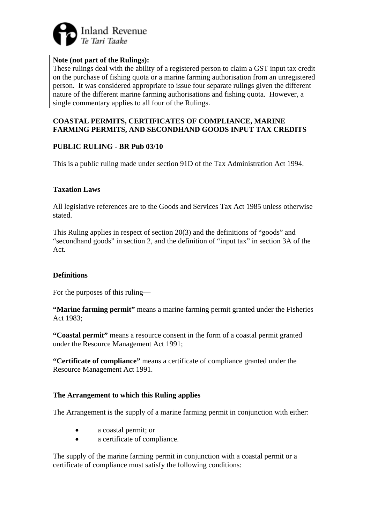

#### **Note (not part of the Rulings):**

These rulings deal with the ability of a registered person to claim a GST input tax credit on the purchase of fishing quota or a marine farming authorisation from an unregistered person. It was considered appropriate to issue four separate rulings given the different nature of the different marine farming authorisations and fishing quota. However, a single commentary applies to all four of the Rulings.

#### **COASTAL PERMITS, CERTIFICATES OF COMPLIANCE, MARINE FARMING PERMITS, AND SECONDHAND GOODS INPUT TAX CREDITS**

### **PUBLIC RULING - BR Pub 03/10**

This is a public ruling made under section 91D of the Tax Administration Act 1994.

#### **Taxation Laws**

All legislative references are to the Goods and Services Tax Act 1985 unless otherwise stated.

This Ruling applies in respect of section 20(3) and the definitions of "goods" and "secondhand goods" in section 2, and the definition of "input tax" in section 3A of the Act.

#### **Definitions**

For the purposes of this ruling—

**"Marine farming permit"** means a marine farming permit granted under the Fisheries Act 1983;

**"Coastal permit"** means a resource consent in the form of a coastal permit granted under the Resource Management Act 1991;

**"Certificate of compliance"** means a certificate of compliance granted under the Resource Management Act 1991.

#### **The Arrangement to which this Ruling applies**

The Arrangement is the supply of a marine farming permit in conjunction with either:

- a coastal permit; or
- a certificate of compliance.

The supply of the marine farming permit in conjunction with a coastal permit or a certificate of compliance must satisfy the following conditions: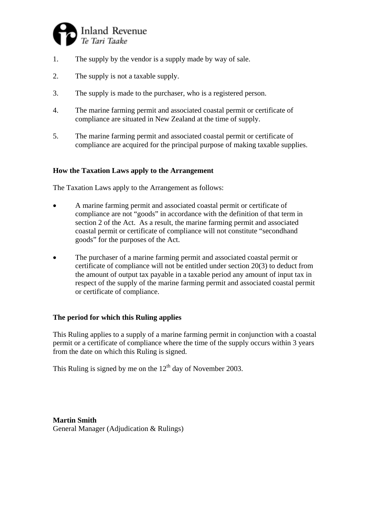

- 1. The supply by the vendor is a supply made by way of sale.
- 2. The supply is not a taxable supply.
- 3. The supply is made to the purchaser, who is a registered person.
- 4. The marine farming permit and associated coastal permit or certificate of compliance are situated in New Zealand at the time of supply.
- 5. The marine farming permit and associated coastal permit or certificate of compliance are acquired for the principal purpose of making taxable supplies.

#### **How the Taxation Laws apply to the Arrangement**

The Taxation Laws apply to the Arrangement as follows:

- A marine farming permit and associated coastal permit or certificate of compliance are not "goods" in accordance with the definition of that term in section 2 of the Act. As a result, the marine farming permit and associated coastal permit or certificate of compliance will not constitute "secondhand goods" for the purposes of the Act.
- The purchaser of a marine farming permit and associated coastal permit or certificate of compliance will not be entitled under section 20(3) to deduct from the amount of output tax payable in a taxable period any amount of input tax in respect of the supply of the marine farming permit and associated coastal permit or certificate of compliance.

### **The period for which this Ruling applies**

This Ruling applies to a supply of a marine farming permit in conjunction with a coastal permit or a certificate of compliance where the time of the supply occurs within 3 years from the date on which this Ruling is signed.

This Ruling is signed by me on the  $12<sup>th</sup>$  day of November 2003.

**Martin Smith**  General Manager (Adjudication & Rulings)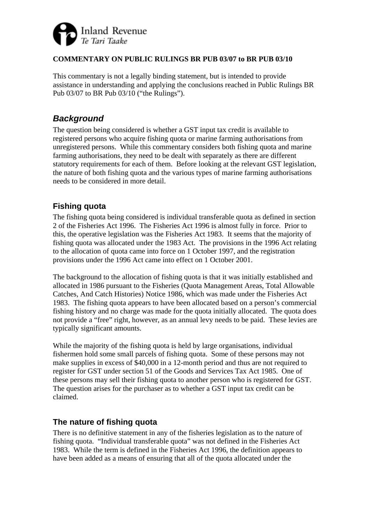

### **COMMENTARY ON PUBLIC RULINGS BR PUB 03/07 to BR PUB 03/10**

This commentary is not a legally binding statement, but is intended to provide assistance in understanding and applying the conclusions reached in Public Rulings BR Pub 03/07 to BR Pub 03/10 ("the Rulings").

# *Background*

The question being considered is whether a GST input tax credit is available to registered persons who acquire fishing quota or marine farming authorisations from unregistered persons. While this commentary considers both fishing quota and marine farming authorisations, they need to be dealt with separately as there are different statutory requirements for each of them. Before looking at the relevant GST legislation, the nature of both fishing quota and the various types of marine farming authorisations needs to be considered in more detail.

# **Fishing quota**

The fishing quota being considered is individual transferable quota as defined in section 2 of the Fisheries Act 1996. The Fisheries Act 1996 is almost fully in force. Prior to this, the operative legislation was the Fisheries Act 1983. It seems that the majority of fishing quota was allocated under the 1983 Act. The provisions in the 1996 Act relating to the allocation of quota came into force on 1 October 1997, and the registration provisions under the 1996 Act came into effect on 1 October 2001.

The background to the allocation of fishing quota is that it was initially established and allocated in 1986 pursuant to the Fisheries (Quota Management Areas, Total Allowable Catches, And Catch Histories) Notice 1986, which was made under the Fisheries Act 1983. The fishing quota appears to have been allocated based on a person's commercial fishing history and no charge was made for the quota initially allocated. The quota does not provide a "free" right, however, as an annual levy needs to be paid. These levies are typically significant amounts.

While the majority of the fishing quota is held by large organisations, individual fishermen hold some small parcels of fishing quota. Some of these persons may not make supplies in excess of \$40,000 in a 12-month period and thus are not required to register for GST under section 51 of the Goods and Services Tax Act 1985. One of these persons may sell their fishing quota to another person who is registered for GST. The question arises for the purchaser as to whether a GST input tax credit can be claimed.

# **The nature of fishing quota**

There is no definitive statement in any of the fisheries legislation as to the nature of fishing quota. "Individual transferable quota" was not defined in the Fisheries Act 1983. While the term is defined in the Fisheries Act 1996, the definition appears to have been added as a means of ensuring that all of the quota allocated under the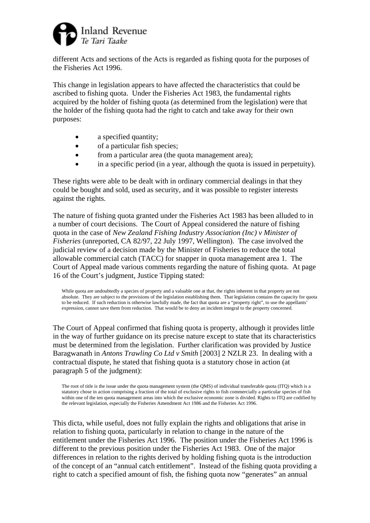

different Acts and sections of the Acts is regarded as fishing quota for the purposes of the Fisheries Act 1996.

This change in legislation appears to have affected the characteristics that could be ascribed to fishing quota. Under the Fisheries Act 1983, the fundamental rights acquired by the holder of fishing quota (as determined from the legislation) were that the holder of the fishing quota had the right to catch and take away for their own purposes:

- a specified quantity;
- of a particular fish species;
- from a particular area (the quota management area);
- in a specific period (in a year, although the quota is issued in perpetuity).

These rights were able to be dealt with in ordinary commercial dealings in that they could be bought and sold, used as security, and it was possible to register interests against the rights.

The nature of fishing quota granted under the Fisheries Act 1983 has been alluded to in a number of court decisions. The Court of Appeal considered the nature of fishing quota in the case of *New Zealand Fishing Industry Association (Inc) v Minister of Fisheries* (unreported, CA 82/97, 22 July 1997, Wellington). The case involved the judicial review of a decision made by the Minister of Fisheries to reduce the total allowable commercial catch (TACC) for snapper in quota management area 1. The Court of Appeal made various comments regarding the nature of fishing quota. At page 16 of the Court's judgment, Justice Tipping stated:

While quota are undoubtedly a species of property and a valuable one at that, the rights inherent in that property are not absolute. They are subject to the provisions of the legislation establishing them. That legislation contains the capacity for quota to be reduced. If such reduction is otherwise lawfully made, the fact that quota are a "property right", to use the appellants' expression, cannot save them from reduction. That would be to deny an incident integral to the property concerned.

The Court of Appeal confirmed that fishing quota is property, although it provides little in the way of further guidance on its precise nature except to state that its characteristics must be determined from the legislation. Further clarification was provided by Justice Baragwanath in *Antons Trawling Co Ltd v Smith* [2003] 2 NZLR 23. In dealing with a contractual dispute, he stated that fishing quota is a statutory chose in action (at paragraph 5 of the judgment):

The root of title is the issue under the quota management system (the QMS) of individual transferable quota (ITQ) which is a statutory chose in action comprising a fraction of the total of exclusive rights to fish commercially a particular species of fish within one of the ten quota management areas into which the exclusive economic zone is divided. Rights to ITQ are codified by the relevant legislation, especially the Fisheries Amendment Act 1986 and the Fisheries Act 1996.

This dicta, while useful, does not fully explain the rights and obligations that arise in relation to fishing quota, particularly in relation to change in the nature of the entitlement under the Fisheries Act 1996. The position under the Fisheries Act 1996 is different to the previous position under the Fisheries Act 1983. One of the major differences in relation to the rights derived by holding fishing quota is the introduction of the concept of an "annual catch entitlement". Instead of the fishing quota providing a right to catch a specified amount of fish, the fishing quota now "generates" an annual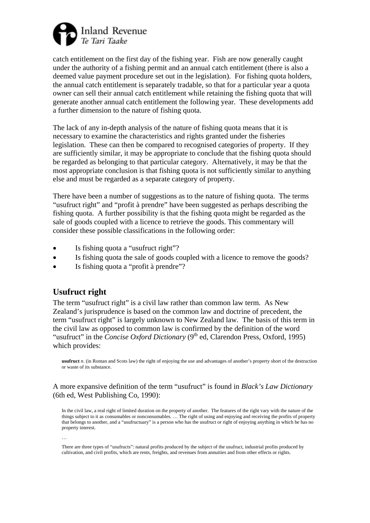

catch entitlement on the first day of the fishing year. Fish are now generally caught under the authority of a fishing permit and an annual catch entitlement (there is also a deemed value payment procedure set out in the legislation). For fishing quota holders, the annual catch entitlement is separately tradable, so that for a particular year a quota owner can sell their annual catch entitlement while retaining the fishing quota that will generate another annual catch entitlement the following year. These developments add a further dimension to the nature of fishing quota.

The lack of any in-depth analysis of the nature of fishing quota means that it is necessary to examine the characteristics and rights granted under the fisheries legislation. These can then be compared to recognised categories of property. If they are sufficiently similar, it may be appropriate to conclude that the fishing quota should be regarded as belonging to that particular category. Alternatively, it may be that the most appropriate conclusion is that fishing quota is not sufficiently similar to anything else and must be regarded as a separate category of property.

There have been a number of suggestions as to the nature of fishing quota. The terms "usufruct right" and "profit à prendre" have been suggested as perhaps describing the fishing quota. A further possibility is that the fishing quota might be regarded as the sale of goods coupled with a licence to retrieve the goods. This commentary will consider these possible classifications in the following order:

- Is fishing quota a "usufruct right"?
- Is fishing quota the sale of goods coupled with a licence to remove the goods?
- Is fishing quota a "profit à prendre"?

# **Usufruct right**

…

The term "usufruct right" is a civil law rather than common law term. As New Zealand's jurisprudence is based on the common law and doctrine of precedent, the term "usufruct right" is largely unknown to New Zealand law. The basis of this term in the civil law as opposed to common law is confirmed by the definition of the word "usufruct" in the *Concise Oxford Dictionary* ( $9<sup>th</sup>$  ed, Clarendon Press, Oxford, 1995) which provides:

**usufruct** *n*. (in Roman and Scots law) the right of enjoying the use and advantages of another's property short of the destruction or waste of its substance.

A more expansive definition of the term "usufruct" is found in *Black's Law Dictionary* (6th ed, West Publishing Co, 1990):

In the civil law, a real right of limited duration on the property of another. The features of the right vary with the nature of the things subject to it as consumables or nonconsumables. … The right of using and enjoying and receiving the profits of property that belongs to another, and a "usufructuary" is a person who has the usufruct or right of enjoying anything in which he has no property interest.

There are three types of "usufructs": natural profits produced by the subject of the usufruct, industrial profits produced by cultivation, and civil profits, which are rents, freights, and revenues from annuities and from other effects or rights.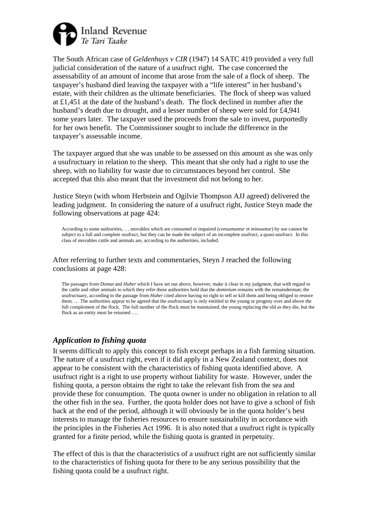

The South African case of *Geldenhuys v CIR* (1947) 14 SATC 419 provided a very full judicial consideration of the nature of a usufruct right. The case concerned the assessability of an amount of income that arose from the sale of a flock of sheep. The taxpayer's husband died leaving the taxpayer with a "life interest" in her husband's estate, with their children as the ultimate beneficiaries. The flock of sheep was valued at £1,451 at the date of the husband's death. The flock declined in number after the husband's death due to drought, and a lesser number of sheep were sold for £4,941 some years later. The taxpayer used the proceeds from the sale to invest, purportedly for her own benefit. The Commissioner sought to include the difference in the taxpayer's assessable income.

The taxpayer argued that she was unable to be assessed on this amount as she was only a usufructuary in relation to the sheep. This meant that she only had a right to use the sheep, with no liability for waste due to circumstances beyond her control. She accepted that this also meant that the investment did not belong to her.

Justice Steyn (with whom Herbstein and Ogilvie Thompson AJJ agreed) delivered the leading judgment. In considering the nature of a usufruct right, Justice Steyn made the following observations at page 424:

According to some authorities, … movables which are consumed or impaired (*consumuntur et minuuntur*) by use cannot be subject to a full and complete usufruct, but they can be made the subject of an incomplete usufruct, a quasi-usufruct. In this class of movables cattle and animals are, according to the authorities, included.

After referring to further texts and commentaries, Steyn J reached the following conclusions at page 428:

The passages from *Domat* and *Huber* which I have set out above, however, make it clear in my judgment, that with regard to the cattle and other animals to which they refer these authorities hold that the *dominium* remains with the remainderman; the usufructuary, according to the passage from *Huber* cited above having no right to sell or kill them and being obliged to restore them. … The authorities appear to be agreed that the usufructuary is only entitled to the young or progeny over and above the full complement of the flock. The full number of the flock must be maintained, the young replacing the old as they die, but the flock as an entity must be returned ...

### *Application to fishing quota*

It seems difficult to apply this concept to fish except perhaps in a fish farming situation. The nature of a usufruct right, even if it did apply in a New Zealand context, does not appear to be consistent with the characteristics of fishing quota identified above. A usufruct right is a right to use property without liability for waste. However, under the fishing quota, a person obtains the right to take the relevant fish from the sea and provide these for consumption. The quota owner is under no obligation in relation to all the other fish in the sea. Further, the quota holder does not have to give a school of fish back at the end of the period, although it will obviously be in the quota holder's best interests to manage the fisheries resources to ensure sustainability in accordance with the principles in the Fisheries Act 1996. It is also noted that a usufruct right is typically granted for a finite period, while the fishing quota is granted in perpetuity.

The effect of this is that the characteristics of a usufruct right are not sufficiently similar to the characteristics of fishing quota for there to be any serious possibility that the fishing quota could be a usufruct right.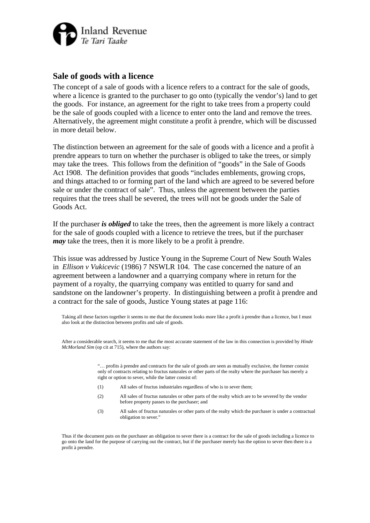

### **Sale of goods with a licence**

The concept of a sale of goods with a licence refers to a contract for the sale of goods, where a licence is granted to the purchaser to go onto (typically the vendor's) land to get the goods. For instance, an agreement for the right to take trees from a property could be the sale of goods coupled with a licence to enter onto the land and remove the trees. Alternatively, the agreement might constitute a profit à prendre, which will be discussed in more detail below.

The distinction between an agreement for the sale of goods with a licence and a profit à prendre appears to turn on whether the purchaser is obliged to take the trees, or simply may take the trees. This follows from the definition of "goods" in the Sale of Goods Act 1908. The definition provides that goods "includes emblements, growing crops, and things attached to or forming part of the land which are agreed to be severed before sale or under the contract of sale". Thus, unless the agreement between the parties requires that the trees shall be severed, the trees will not be goods under the Sale of Goods Act.

If the purchaser *is obliged* to take the trees, then the agreement is more likely a contract for the sale of goods coupled with a licence to retrieve the trees, but if the purchaser *may* take the trees, then it is more likely to be a profit à prendre.

This issue was addressed by Justice Young in the Supreme Court of New South Wales in *Ellison v Vukicevic* (1986) 7 NSWLR 104. The case concerned the nature of an agreement between a landowner and a quarrying company where in return for the payment of a royalty, the quarrying company was entitled to quarry for sand and sandstone on the landowner's property. In distinguishing between a profit à prendre and a contract for the sale of goods, Justice Young states at page 116:

Taking all these factors together it seems to me that the document looks more like a profit à prendre than a licence, but I must also look at the distinction between profits and sale of goods.

After a considerable search, it seems to me that the most accurate statement of the law in this connection is provided by *Hinde McMorland Sim* (op cit at 715), where the authors say:

> "… profits à prendre and contracts for the sale of goods are seen as mutually exclusive, the former consist only of contracts relating to fructus naturales or other parts of the realty where the purchaser has merely a right or option to sever, while the latter consist of:

- (1) All sales of fructus industriales regardless of who is to sever them;
- (2) All sales of fructus naturales or other parts of the realty which are to be severed by the vendor before property passes to the purchaser; and
- (3) All sales of fructus naturales or other parts of the realty which the purchaser is under a contractual obligation to sever."

Thus if the document puts on the purchaser an obligation to sever there is a contract for the sale of goods including a licence to go onto the land for the purpose of carrying out the contract, but if the purchaser merely has the option to sever then there is a profit à prendre.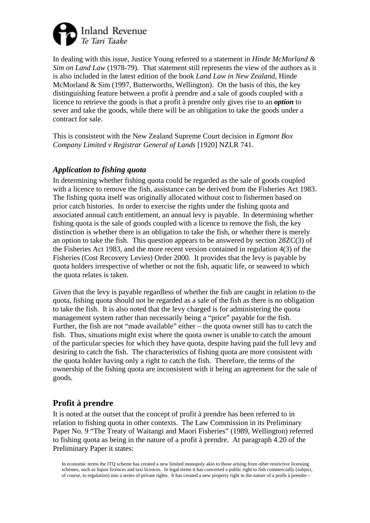

In dealing with this issue, Justice Young referred to a statement in *Hinde McMorland & Sim on Land Law* (1978-79). That statement still represents the view of the authors as it is also included in the latest edition of the book *Land Law in New Zealand*, Hinde McMorland & Sim (1997, Butterworths, Wellington). On the basis of this, the key distinguishing feature between a profit à prendre and a sale of goods coupled with a licence to retrieve the goods is that a profit à prendre only gives rise to an *option* to sever and take the goods, while there will be an obligation to take the goods under a contract for sale.

This is consistent with the New Zealand Supreme Court decision in *Egmont Box Company Limited v Registrar General of Lands* [1920] NZLR 741.

### *Application to fishing quota*

In determining whether fishing quota could be regarded as the sale of goods coupled with a licence to remove the fish, assistance can be derived from the Fisheries Act 1983. The fishing quota itself was originally allocated without cost to fishermen based on prior catch histories. In order to exercise the rights under the fishing quota and associated annual catch entitlement, an annual levy is payable. In determining whether fishing quota is the sale of goods coupled with a licence to remove the fish, the key distinction is whether there is an obligation to take the fish, or whether there is merely an option to take the fish. This question appears to be answered by section 28ZC(3) of the Fisheries Act 1983, and the more recent version contained in regulation 4(3) of the Fisheries (Cost Recovery Levies) Order 2000. It provides that the levy is payable by quota holders irrespective of whether or not the fish, aquatic life, or seaweed to which the quota relates is taken.

Given that the levy is payable regardless of whether the fish are caught in relation to the quota, fishing quota should not be regarded as a sale of the fish as there is no obligation to take the fish. It is also noted that the levy charged is for administering the quota management system rather than necessarily being a "price" payable for the fish. Further, the fish are not "made available" either – the quota owner still has to catch the fish. Thus, situations might exist where the quota owner is unable to catch the amount of the particular species for which they have quota, despite having paid the full levy and desiring to catch the fish. The characteristics of fishing quota are more consistent with the quota holder having only a right to catch the fish. Therefore, the terms of the ownership of the fishing quota are inconsistent with it being an agreement for the sale of goods.

# **Profit à prendre**

It is noted at the outset that the concept of profit à prendre has been referred to in relation to fishing quota in other contexts. The Law Commission in its Preliminary Paper No. 9 "The Treaty of Waitangi and Maori Fisheries" (1989, Wellington) referred to fishing quota as being in the nature of a profit à prendre. At paragraph 4.20 of the Preliminary Paper it states:

In economic terms the ITQ scheme has created a new limited monopoly akin to those arising from other restrictive licensing schemes, such as liquor licences and taxi licences. In legal terms it has converted a public right to fish commercially (subject, of course, to regulation) into a series of private rights. It has created a new property right in the nature of a profit à prendre –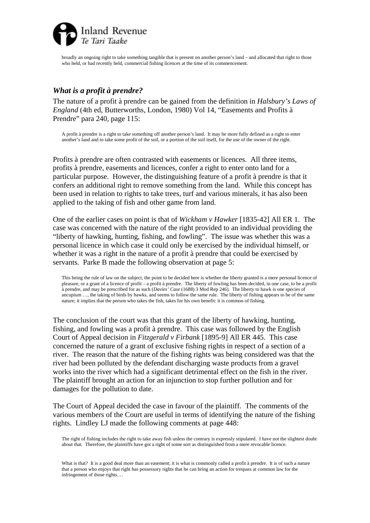

broadly an ongoing right to take something tangible that is present on another person's land – and allocated that right to those who held, or had recently held, commercial fishing licences at the time of its commencement.

### *What is a profit à prendre?*

The nature of a profit à prendre can be gained from the definition in *Halsbury's Laws of England* (4th ed, Butterworths, London, 1980) Vol 14, "Easements and Profits à Prendre" para 240, page 115:

A profit à prendre is a right to take something off another person's land. It may be more fully defined as a right to enter another's land and to take some profit of the soil, or a portion of the soil itself, for the use of the owner of the right.

Profits à prendre are often contrasted with easements or licences. All three items, profits à prendre, easements and licences, confer a right to enter onto land for a particular purpose. However, the distinguishing feature of a profit à prendre is that it confers an additional right to remove something from the land. While this concept has been used in relation to rights to take trees, turf and various minerals, it has also been applied to the taking of fish and other game from land.

One of the earlier cases on point is that of *Wickham v Hawker* [1835-42] All ER 1. The case was concerned with the nature of the right provided to an individual providing the "liberty of hawking, hunting, fishing, and fowling". The issue was whether this was a personal licence in which case it could only be exercised by the individual himself, or whether it was a right in the nature of a profit à prendre that could be exercised by servants. Parke B made the following observation at page 5:

This being the rule of law on the subject, the point to be decided here is whether the liberty granted is a mere personal licence of pleasure, or a grant of a licence of profit – a profit à prendre. The liberty of fowling has been decided, in one case, to be a profit à prendre, and may be prescribed for as such (*Davies' Case* (1688) 3 Mod Rep 246). The liberty to hawk is one species of ancupium …, the taking of birds by hawks, and seems to follow the same rule. The liberty of fishing appears to be of the same nature; it implies that the person who takes the fish, takes for his own benefit: it is common of fishing.

The conclusion of the court was that this grant of the liberty of hawking, hunting, fishing, and fowling was a profit à prendre. This case was followed by the English Court of Appeal decision in *Fitzgerald v Firbank* [1895-9] All ER 445. This case concerned the nature of a grant of exclusive fishing rights in respect of a section of a river. The reason that the nature of the fishing rights was being considered was that the river had been polluted by the defendant discharging waste products from a gravel works into the river which had a significant detrimental effect on the fish in the river. The plaintiff brought an action for an injunction to stop further pollution and for damages for the pollution to date.

The Court of Appeal decided the case in favour of the plaintiff. The comments of the various members of the Court are useful in terms of identifying the nature of the fishing rights. Lindley LJ made the following comments at page 448:

The right of fishing includes the right to take away fish unless the contrary is expressly stipulated. I have not the slightest doubt about that. Therefore, the plaintiffs have got a right of some sort as distinguished from a mere revocable licence.

What is that? It is a good deal more than an easement; it is what is commonly called a profit à prendre. It is of such a nature that a person who enjoys that right has possessory rights that he can bring an action for trespass at common law for the infringement of those rights.…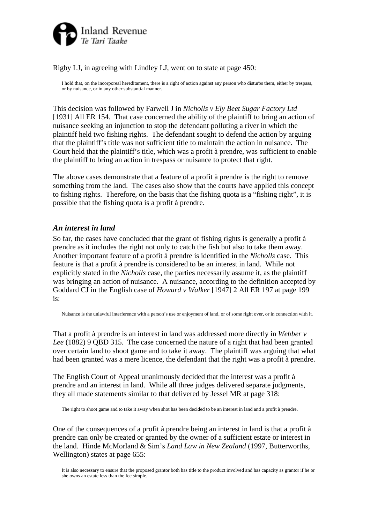

Rigby LJ, in agreeing with Lindley LJ, went on to state at page 450:

I hold that, on the incorporeal hereditament, there is a right of action against any person who disturbs them, either by trespass, or by nuisance, or in any other substantial manner.

This decision was followed by Farwell J in *Nicholls v Ely Beet Sugar Factory Ltd* [1931] All ER 154. That case concerned the ability of the plaintiff to bring an action of nuisance seeking an injunction to stop the defendant polluting a river in which the plaintiff held two fishing rights. The defendant sought to defend the action by arguing that the plaintiff's title was not sufficient title to maintain the action in nuisance. The Court held that the plaintiff's title, which was a profit à prendre, was sufficient to enable the plaintiff to bring an action in trespass or nuisance to protect that right.

The above cases demonstrate that a feature of a profit à prendre is the right to remove something from the land. The cases also show that the courts have applied this concept to fishing rights. Therefore, on the basis that the fishing quota is a "fishing right", it is possible that the fishing quota is a profit à prendre.

### *An interest in land*

So far, the cases have concluded that the grant of fishing rights is generally a profit à prendre as it includes the right not only to catch the fish but also to take them away. Another important feature of a profit à prendre is identified in the *Nicholls* case. This feature is that a profit à prendre is considered to be an interest in land. While not explicitly stated in the *Nicholls* case, the parties necessarily assume it, as the plaintiff was bringing an action of nuisance. A nuisance, according to the definition accepted by Goddard CJ in the English case of *Howard v Walker* [1947] 2 All ER 197 at page 199 is:

Nuisance is the unlawful interference with a person's use or enjoyment of land, or of some right over, or in connection with it.

That a profit à prendre is an interest in land was addressed more directly in *Webber v Lee* (1882) 9 QBD 315. The case concerned the nature of a right that had been granted over certain land to shoot game and to take it away. The plaintiff was arguing that what had been granted was a mere licence, the defendant that the right was a profit à prendre.

The English Court of Appeal unanimously decided that the interest was a profit à prendre and an interest in land. While all three judges delivered separate judgments, they all made statements similar to that delivered by Jessel MR at page 318:

The right to shoot game and to take it away when shot has been decided to be an interest in land and a profit à prendre.

One of the consequences of a profit à prendre being an interest in land is that a profit à prendre can only be created or granted by the owner of a sufficient estate or interest in the land. Hinde McMorland & Sim's *Land Law in New Zealand* (1997, Butterworths, Wellington) states at page 655:

It is also necessary to ensure that the proposed grantor both has title to the product involved and has capacity as grantor if he or she owns an estate less than the fee simple.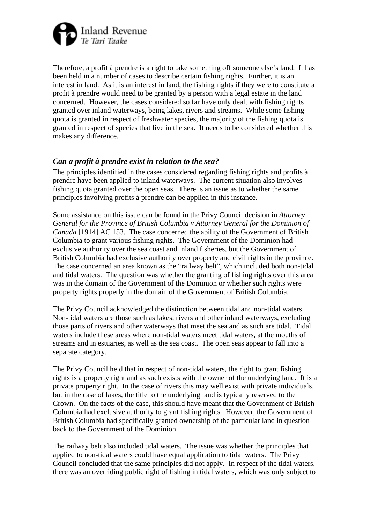

Therefore, a profit à prendre is a right to take something off someone else's land. It has been held in a number of cases to describe certain fishing rights. Further, it is an interest in land. As it is an interest in land, the fishing rights if they were to constitute a profit à prendre would need to be granted by a person with a legal estate in the land concerned. However, the cases considered so far have only dealt with fishing rights granted over inland waterways, being lakes, rivers and streams. While some fishing quota is granted in respect of freshwater species, the majority of the fishing quota is granted in respect of species that live in the sea. It needs to be considered whether this makes any difference.

# *Can a profit à prendre exist in relation to the sea?*

The principles identified in the cases considered regarding fishing rights and profits à prendre have been applied to inland waterways. The current situation also involves fishing quota granted over the open seas. There is an issue as to whether the same principles involving profits à prendre can be applied in this instance.

Some assistance on this issue can be found in the Privy Council decision in *Attorney General for the Province of British Columbia v Attorney General for the Dominion of Canada* [1914] AC 153. The case concerned the ability of the Government of British Columbia to grant various fishing rights. The Government of the Dominion had exclusive authority over the sea coast and inland fisheries, but the Government of British Columbia had exclusive authority over property and civil rights in the province. The case concerned an area known as the "railway belt", which included both non-tidal and tidal waters. The question was whether the granting of fishing rights over this area was in the domain of the Government of the Dominion or whether such rights were property rights properly in the domain of the Government of British Columbia.

The Privy Council acknowledged the distinction between tidal and non-tidal waters. Non-tidal waters are those such as lakes, rivers and other inland waterways, excluding those parts of rivers and other waterways that meet the sea and as such are tidal. Tidal waters include these areas where non-tidal waters meet tidal waters, at the mouths of streams and in estuaries, as well as the sea coast. The open seas appear to fall into a separate category.

The Privy Council held that in respect of non-tidal waters, the right to grant fishing rights is a property right and as such exists with the owner of the underlying land. It is a private property right. In the case of rivers this may well exist with private individuals, but in the case of lakes, the title to the underlying land is typically reserved to the Crown. On the facts of the case, this should have meant that the Government of British Columbia had exclusive authority to grant fishing rights. However, the Government of British Columbia had specifically granted ownership of the particular land in question back to the Government of the Dominion.

The railway belt also included tidal waters. The issue was whether the principles that applied to non-tidal waters could have equal application to tidal waters. The Privy Council concluded that the same principles did not apply. In respect of the tidal waters, there was an overriding public right of fishing in tidal waters, which was only subject to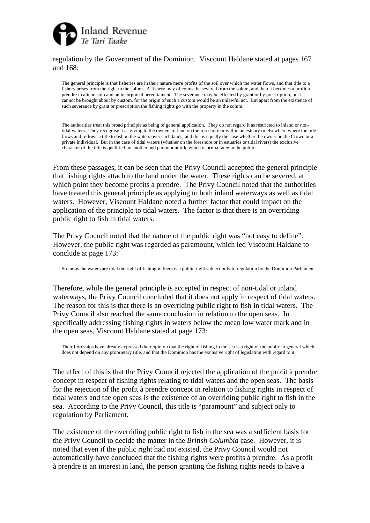

#### regulation by the Government of the Dominion. Viscount Haldane stated at pages 167 and 168:

The general principle is that fisheries are in their nature mere profits of the soil over which the water flows, and that title to a fishery arises from the right to the solum. A fishery may of course be severed from the solum, and then it becomes a profit à prendre in alieno solo and an incorporeal hereditament. The severance may be effected by grant or by prescription, but it cannot be brought about by custom, for the origin of such a custom would be an unlawful act. But apart from the existence of such severance by grant or prescription the fishing rights go with the property in the solum.

The authorities treat this broad principle as being of general application. They do not regard it as restricted to inland or nontidal waters. They recognise it as giving to the owners of land on the foreshore or within an estuary or elsewhere where the tide flows and reflows a title to fish in the waters over such lands, and this is equally the case whether the owner be the Crown or a private individual. But in the case of tidal waters (whether on the foreshore or in estuaries or tidal rivers) the exclusive character of the title is qualified by another and paramount title which is prima facie in the public.

From these passages, it can be seen that the Privy Council accepted the general principle that fishing rights attach to the land under the water. These rights can be severed, at which point they become profits à prendre. The Privy Council noted that the authorities have treated this general principle as applying to both inland waterways as well as tidal waters. However, Viscount Haldane noted a further factor that could impact on the application of the principle to tidal waters. The factor is that there is an overriding public right to fish in tidal waters.

The Privy Council noted that the nature of the public right was "not easy to define". However, the public right was regarded as paramount, which led Viscount Haldane to conclude at page 173:

So far as the waters are tidal the right of fishing in them is a public right subject only to regulation by the Dominion Parliament.

Therefore, while the general principle is accepted in respect of non-tidal or inland waterways, the Privy Council concluded that it does not apply in respect of tidal waters. The reason for this is that there is an overriding public right to fish in tidal waters. The Privy Council also reached the same conclusion in relation to the open seas. In specifically addressing fishing rights in waters below the mean low water mark and in the open seas, Viscount Haldane stated at page 173:

Their Lordships have already expressed their opinion that the right of fishing in the sea is a right of the public in general which does not depend on any proprietary title, and that the Dominion has the exclusive right of legislating with regard to it.

The effect of this is that the Privy Council rejected the application of the profit à prendre concept in respect of fishing rights relating to tidal waters and the open seas. The basis for the rejection of the profit à prendre concept in relation to fishing rights in respect of tidal waters and the open seas is the existence of an overriding public right to fish in the sea. According to the Privy Council, this title is "paramount" and subject only to regulation by Parliament.

The existence of the overriding public right to fish in the sea was a sufficient basis for the Privy Council to decide the matter in the *British Columbia* case. However, it is noted that even if the public right had not existed, the Privy Council would not automatically have concluded that the fishing rights were profits à prendre. As a profit à prendre is an interest in land, the person granting the fishing rights needs to have a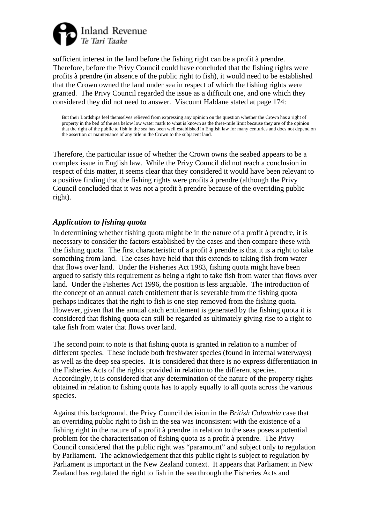

sufficient interest in the land before the fishing right can be a profit à prendre. Therefore, before the Privy Council could have concluded that the fishing rights were profits à prendre (in absence of the public right to fish), it would need to be established that the Crown owned the land under sea in respect of which the fishing rights were granted. The Privy Council regarded the issue as a difficult one, and one which they considered they did not need to answer. Viscount Haldane stated at page 174:

But their Lordships feel themselves relieved from expressing any opinion on the question whether the Crown has a right of property in the bed of the sea below low water mark to what is known as the three-mile limit because they are of the opinion that the right of the public to fish in the sea has been well established in English law for many centuries and does not depend on the assertion or maintenance of any title in the Crown to the subjacent land.

Therefore, the particular issue of whether the Crown owns the seabed appears to be a complex issue in English law. While the Privy Council did not reach a conclusion in respect of this matter, it seems clear that they considered it would have been relevant to a positive finding that the fishing rights were profits à prendre (although the Privy Council concluded that it was not a profit à prendre because of the overriding public right).

### *Application to fishing quota*

In determining whether fishing quota might be in the nature of a profit à prendre, it is necessary to consider the factors established by the cases and then compare these with the fishing quota. The first characteristic of a profit à prendre is that it is a right to take something from land. The cases have held that this extends to taking fish from water that flows over land. Under the Fisheries Act 1983, fishing quota might have been argued to satisfy this requirement as being a right to take fish from water that flows over land. Under the Fisheries Act 1996, the position is less arguable. The introduction of the concept of an annual catch entitlement that is severable from the fishing quota perhaps indicates that the right to fish is one step removed from the fishing quota. However, given that the annual catch entitlement is generated by the fishing quota it is considered that fishing quota can still be regarded as ultimately giving rise to a right to take fish from water that flows over land.

The second point to note is that fishing quota is granted in relation to a number of different species. These include both freshwater species (found in internal waterways) as well as the deep sea species. It is considered that there is no express differentiation in the Fisheries Acts of the rights provided in relation to the different species. Accordingly, it is considered that any determination of the nature of the property rights obtained in relation to fishing quota has to apply equally to all quota across the various species.

Against this background, the Privy Council decision in the *British Columbia* case that an overriding public right to fish in the sea was inconsistent with the existence of a fishing right in the nature of a profit à prendre in relation to the seas poses a potential problem for the characterisation of fishing quota as a profit à prendre. The Privy Council considered that the public right was "paramount" and subject only to regulation by Parliament. The acknowledgement that this public right is subject to regulation by Parliament is important in the New Zealand context. It appears that Parliament in New Zealand has regulated the right to fish in the sea through the Fisheries Acts and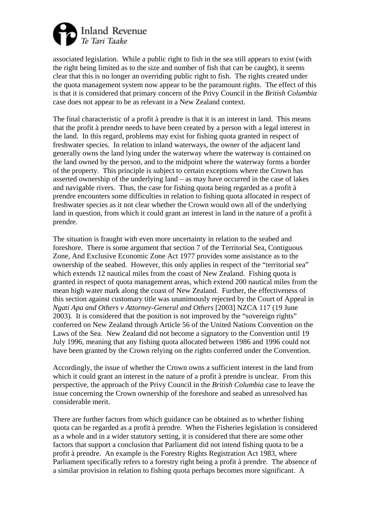

associated legislation. While a public right to fish in the sea still appears to exist (with the right being limited as to the size and number of fish that can be caught), it seems clear that this is no longer an overriding public right to fish. The rights created under the quota management system now appear to be the paramount rights. The effect of this is that it is considered that primary concern of the Privy Council in the *British Columbia* case does not appear to be as relevant in a New Zealand context.

The final characteristic of a profit à prendre is that it is an interest in land. This means that the profit à prendre needs to have been created by a person with a legal interest in the land. In this regard, problems may exist for fishing quota granted in respect of freshwater species. In relation to inland waterways, the owner of the adjacent land generally owns the land lying under the waterway where the waterway is contained on the land owned by the person, and to the midpoint where the waterway forms a border of the property. This principle is subject to certain exceptions where the Crown has asserted ownership of the underlying land – as may have occurred in the case of lakes and navigable rivers. Thus, the case for fishing quota being regarded as a profit à prendre encounters some difficulties in relation to fishing quota allocated in respect of freshwater species as it not clear whether the Crown would own all of the underlying land in question, from which it could grant an interest in land in the nature of a profit à prendre.

The situation is fraught with even more uncertainty in relation to the seabed and foreshore. There is some argument that section 7 of the Territorial Sea, Contiguous Zone, And Exclusive Economic Zone Act 1977 provides some assistance as to the ownership of the seabed. However, this only applies in respect of the "territorial sea" which extends 12 nautical miles from the coast of New Zealand. Fishing quota is granted in respect of quota management areas, which extend 200 nautical miles from the mean high water mark along the coast of New Zealand. Further, the effectiveness of this section against customary title was unanimously rejected by the Court of Appeal in *Ngati Apa and Others v Attorney-General and Others* [2003] NZCA 117 (19 June 2003). It is considered that the position is not improved by the "sovereign rights" conferred on New Zealand through Article 56 of the United Nations Convention on the Laws of the Sea. New Zealand did not become a signatory to the Convention until 19 July 1996, meaning that any fishing quota allocated between 1986 and 1996 could not have been granted by the Crown relying on the rights conferred under the Convention.

Accordingly, the issue of whether the Crown owns a sufficient interest in the land from which it could grant an interest in the nature of a profit à prendre is unclear. From this perspective, the approach of the Privy Council in the *British Columbia* case to leave the issue concerning the Crown ownership of the foreshore and seabed as unresolved has considerable merit.

There are further factors from which guidance can be obtained as to whether fishing quota can be regarded as a profit à prendre. When the Fisheries legislation is considered as a whole and in a wider statutory setting, it is considered that there are some other factors that support a conclusion that Parliament did not intend fishing quota to be a profit à prendre. An example is the Forestry Rights Registration Act 1983, where Parliament specifically refers to a forestry right being a profit à prendre. The absence of a similar provision in relation to fishing quota perhaps becomes more significant. A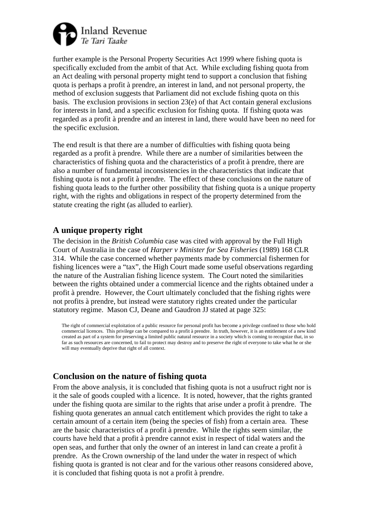

further example is the Personal Property Securities Act 1999 where fishing quota is specifically excluded from the ambit of that Act. While excluding fishing quota from an Act dealing with personal property might tend to support a conclusion that fishing quota is perhaps a profit à prendre, an interest in land, and not personal property, the method of exclusion suggests that Parliament did not exclude fishing quota on this basis. The exclusion provisions in section 23(e) of that Act contain general exclusions for interests in land, and a specific exclusion for fishing quota. If fishing quota was regarded as a profit à prendre and an interest in land, there would have been no need for the specific exclusion.

The end result is that there are a number of difficulties with fishing quota being regarded as a profit à prendre. While there are a number of similarities between the characteristics of fishing quota and the characteristics of a profit à prendre, there are also a number of fundamental inconsistencies in the characteristics that indicate that fishing quota is not a profit à prendre. The effect of these conclusions on the nature of fishing quota leads to the further other possibility that fishing quota is a unique property right, with the rights and obligations in respect of the property determined from the statute creating the right (as alluded to earlier).

### **A unique property right**

The decision in the *British Columbia* case was cited with approval by the Full High Court of Australia in the case of *Harper v Minister for Sea Fisheries* (1989) 168 CLR 314. While the case concerned whether payments made by commercial fishermen for fishing licences were a "tax", the High Court made some useful observations regarding the nature of the Australian fishing licence system. The Court noted the similarities between the rights obtained under a commercial licence and the rights obtained under a profit à prendre. However, the Court ultimately concluded that the fishing rights were not profits à prendre, but instead were statutory rights created under the particular statutory regime. Mason CJ, Deane and Gaudron JJ stated at page 325:

The right of commercial exploitation of a public resource for personal profit has become a privilege confined to those who hold commercial licences. This privilege can be compared to a profit à prendre. In truth, however, it is an entitlement of a new kind created as part of a system for preserving a limited public natural resource in a society which is coming to recognize that, in so far as such resources are concerned, to fail to protect may destroy and to preserve the right of everyone to take what he or she will may eventually deprive that right of all context.

# **Conclusion on the nature of fishing quota**

From the above analysis, it is concluded that fishing quota is not a usufruct right nor is it the sale of goods coupled with a licence. It is noted, however, that the rights granted under the fishing quota are similar to the rights that arise under a profit à prendre. The fishing quota generates an annual catch entitlement which provides the right to take a certain amount of a certain item (being the species of fish) from a certain area. These are the basic characteristics of a profit à prendre. While the rights seem similar, the courts have held that a profit à prendre cannot exist in respect of tidal waters and the open seas, and further that only the owner of an interest in land can create a profit à prendre. As the Crown ownership of the land under the water in respect of which fishing quota is granted is not clear and for the various other reasons considered above, it is concluded that fishing quota is not a profit à prendre.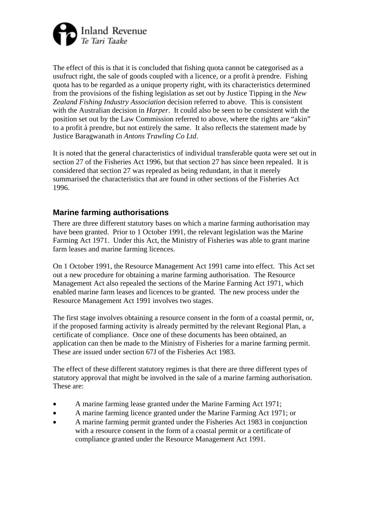

The effect of this is that it is concluded that fishing quota cannot be categorised as a usufruct right, the sale of goods coupled with a licence, or a profit à prendre. Fishing quota has to be regarded as a unique property right, with its characteristics determined from the provisions of the fishing legislation as set out by Justice Tipping in the *New Zealand Fishing Industry Association* decision referred to above. This is consistent with the Australian decision in *Harper*. It could also be seen to be consistent with the position set out by the Law Commission referred to above, where the rights are "akin" to a profit à prendre, but not entirely the same. It also reflects the statement made by Justice Baragwanath in *Antons Trawling Co Ltd*.

It is noted that the general characteristics of individual transferable quota were set out in section 27 of the Fisheries Act 1996, but that section 27 has since been repealed. It is considered that section 27 was repealed as being redundant, in that it merely summarised the characteristics that are found in other sections of the Fisheries Act 1996.

# **Marine farming authorisations**

There are three different statutory bases on which a marine farming authorisation may have been granted. Prior to 1 October 1991, the relevant legislation was the Marine Farming Act 1971. Under this Act, the Ministry of Fisheries was able to grant marine farm leases and marine farming licences.

On 1 October 1991, the Resource Management Act 1991 came into effect. This Act set out a new procedure for obtaining a marine farming authorisation. The Resource Management Act also repealed the sections of the Marine Farming Act 1971, which enabled marine farm leases and licences to be granted. The new process under the Resource Management Act 1991 involves two stages.

The first stage involves obtaining a resource consent in the form of a coastal permit, or, if the proposed farming activity is already permitted by the relevant Regional Plan, a certificate of compliance. Once one of these documents has been obtained, an application can then be made to the Ministry of Fisheries for a marine farming permit. These are issued under section 67J of the Fisheries Act 1983.

The effect of these different statutory regimes is that there are three different types of statutory approval that might be involved in the sale of a marine farming authorisation. These are:

- A marine farming lease granted under the Marine Farming Act 1971;
- A marine farming licence granted under the Marine Farming Act 1971; or
- A marine farming permit granted under the Fisheries Act 1983 in conjunction with a resource consent in the form of a coastal permit or a certificate of compliance granted under the Resource Management Act 1991.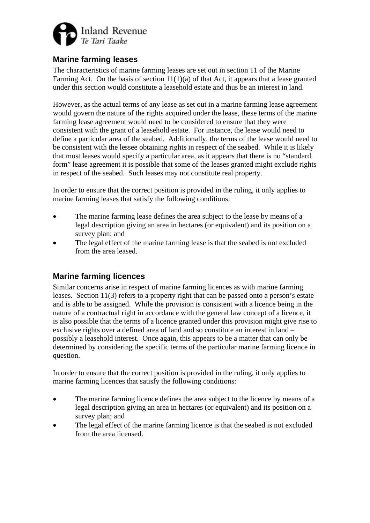

# **Marine farming leases**

The characteristics of marine farming leases are set out in section 11 of the Marine Farming Act. On the basis of section  $11(1)(a)$  of that Act, it appears that a lease granted under this section would constitute a leasehold estate and thus be an interest in land.

However, as the actual terms of any lease as set out in a marine farming lease agreement would govern the nature of the rights acquired under the lease, these terms of the marine farming lease agreement would need to be considered to ensure that they were consistent with the grant of a leasehold estate. For instance, the lease would need to define a particular area of the seabed. Additionally, the terms of the lease would need to be consistent with the lessee obtaining rights in respect of the seabed. While it is likely that most leases would specify a particular area, as it appears that there is no "standard form" lease agreement it is possible that some of the leases granted might exclude rights in respect of the seabed. Such leases may not constitute real property.

In order to ensure that the correct position is provided in the ruling, it only applies to marine farming leases that satisfy the following conditions:

- The marine farming lease defines the area subject to the lease by means of a legal description giving an area in hectares (or equivalent) and its position on a survey plan; and
- The legal effect of the marine farming lease is that the seabed is not excluded from the area leased.

# **Marine farming licences**

Similar concerns arise in respect of marine farming licences as with marine farming leases. Section 11(3) refers to a property right that can be passed onto a person's estate and is able to be assigned. While the provision is consistent with a licence being in the nature of a contractual right in accordance with the general law concept of a licence, it is also possible that the terms of a licence granted under this provision might give rise to exclusive rights over a defined area of land and so constitute an interest in land – possibly a leasehold interest. Once again, this appears to be a matter that can only be determined by considering the specific terms of the particular marine farming licence in question.

In order to ensure that the correct position is provided in the ruling, it only applies to marine farming licences that satisfy the following conditions:

- The marine farming licence defines the area subject to the licence by means of a legal description giving an area in hectares (or equivalent) and its position on a survey plan; and
- The legal effect of the marine farming licence is that the seabed is not excluded from the area licensed.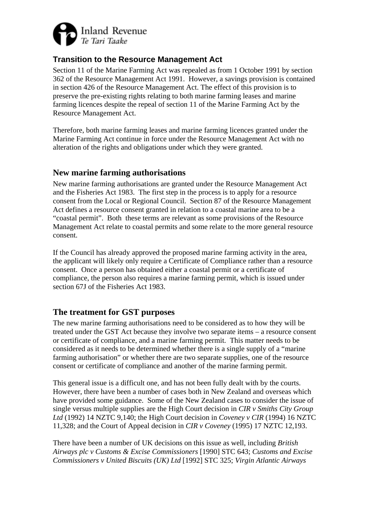

# **Transition to the Resource Management Act**

Section 11 of the Marine Farming Act was repealed as from 1 October 1991 by section 362 of the Resource Management Act 1991. However, a savings provision is contained in section 426 of the Resource Management Act. The effect of this provision is to preserve the pre-existing rights relating to both marine farming leases and marine farming licences despite the repeal of section 11 of the Marine Farming Act by the Resource Management Act.

Therefore, both marine farming leases and marine farming licences granted under the Marine Farming Act continue in force under the Resource Management Act with no alteration of the rights and obligations under which they were granted.

### **New marine farming authorisations**

New marine farming authorisations are granted under the Resource Management Act and the Fisheries Act 1983. The first step in the process is to apply for a resource consent from the Local or Regional Council. Section 87 of the Resource Management Act defines a resource consent granted in relation to a coastal marine area to be a "coastal permit". Both these terms are relevant as some provisions of the Resource Management Act relate to coastal permits and some relate to the more general resource consent.

If the Council has already approved the proposed marine farming activity in the area, the applicant will likely only require a Certificate of Compliance rather than a resource consent. Once a person has obtained either a coastal permit or a certificate of compliance, the person also requires a marine farming permit, which is issued under section 67J of the Fisheries Act 1983.

# **The treatment for GST purposes**

The new marine farming authorisations need to be considered as to how they will be treated under the GST Act because they involve two separate items – a resource consent or certificate of compliance, and a marine farming permit. This matter needs to be considered as it needs to be determined whether there is a single supply of a "marine farming authorisation" or whether there are two separate supplies, one of the resource consent or certificate of compliance and another of the marine farming permit.

This general issue is a difficult one, and has not been fully dealt with by the courts. However, there have been a number of cases both in New Zealand and overseas which have provided some guidance. Some of the New Zealand cases to consider the issue of single versus multiple supplies are the High Court decision in *CIR v Smiths City Group Ltd* (1992) 14 NZTC 9,140; the High Court decision in *Coveney v CIR* (1994) 16 NZTC 11,328; and the Court of Appeal decision in *CIR v Coveney* (1995) 17 NZTC 12,193.

There have been a number of UK decisions on this issue as well, including *British Airways plc v Customs & Excise Commissioners* [1990] STC 643; *Customs and Excise Commissioners v United Biscuits (UK) Ltd* [1992] STC 325; *Virgin Atlantic Airways*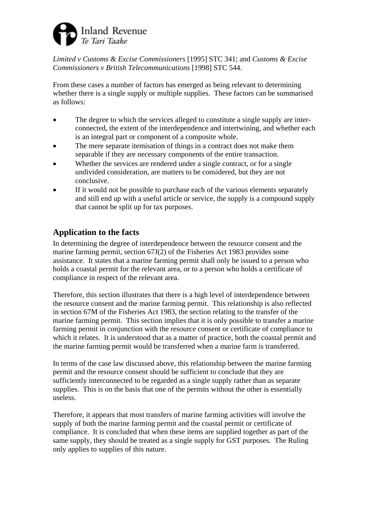

*Limited v Customs & Excise Commissioners* [1995] STC 341; and *Customs & Excise Commissioners v British Telecommunications* [1998] STC 544.

From these cases a number of factors has emerged as being relevant to determining whether there is a single supply or multiple supplies. These factors can be summarised as follows:

- The degree to which the services alleged to constitute a single supply are interconnected, the extent of the interdependence and intertwining, and whether each is an integral part or component of a composite whole.
- The mere separate itemisation of things in a contract does not make them separable if they are necessary components of the entire transaction.
- Whether the services are rendered under a single contract, or for a single undivided consideration, are matters to be considered, but they are not conclusive.
- If it would not be possible to purchase each of the various elements separately and still end up with a useful article or service, the supply is a compound supply that cannot be split up for tax purposes.

# **Application to the facts**

In determining the degree of interdependence between the resource consent and the marine farming permit, section 67J(2) of the Fisheries Act 1983 provides some assistance. It states that a marine farming permit shall only be issued to a person who holds a coastal permit for the relevant area, or to a person who holds a certificate of compliance in respect of the relevant area.

Therefore, this section illustrates that there is a high level of interdependence between the resource consent and the marine farming permit. This relationship is also reflected in section 67M of the Fisheries Act 1983, the section relating to the transfer of the marine farming permit. This section implies that it is only possible to transfer a marine farming permit in conjunction with the resource consent or certificate of compliance to which it relates. It is understood that as a matter of practice, both the coastal permit and the marine farming permit would be transferred when a marine farm is transferred.

In terms of the case law discussed above, this relationship between the marine farming permit and the resource consent should be sufficient to conclude that they are sufficiently interconnected to be regarded as a single supply rather than as separate supplies. This is on the basis that one of the permits without the other is essentially useless.

Therefore, it appears that most transfers of marine farming activities will involve the supply of both the marine farming permit and the coastal permit or certificate of compliance. It is concluded that when these items are supplied together as part of the same supply, they should be treated as a single supply for GST purposes. The Ruling only applies to supplies of this nature.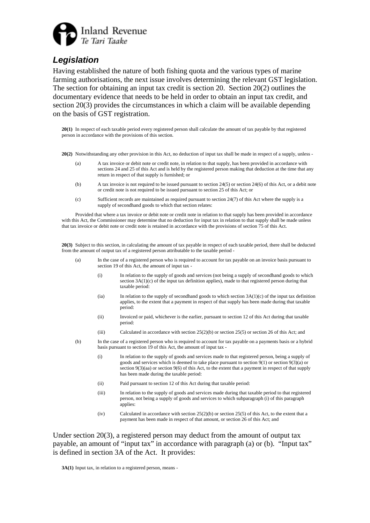

# *Legislation*

Having established the nature of both fishing quota and the various types of marine farming authorisations, the next issue involves determining the relevant GST legislation. The section for obtaining an input tax credit is section 20. Section 20(2) outlines the documentary evidence that needs to be held in order to obtain an input tax credit, and section 20(3) provides the circumstances in which a claim will be available depending on the basis of GST registration.

**20(1)** In respect of each taxable period every registered person shall calculate the amount of tax payable by that registered person in accordance with the provisions of this section.

**20(2)** Notwithstanding any other provision in this Act, no deduction of input tax shall be made in respect of a supply, unless -

- (a) A tax invoice or debit note or credit note, in relation to that supply, has been provided in accordance with sections 24 and 25 of this Act and is held by the registered person making that deduction at the time that any return in respect of that supply is furnished; or
- (b) A tax invoice is not required to be issued pursuant to section 24(5) or section 24(6) of this Act, or a debit note or credit note is not required to be issued pursuant to section 25 of this Act; or
- (c) Sufficient records are maintained as required pursuant to section 24(7) of this Act where the supply is a supply of secondhand goods to which that section relates:

 Provided that where a tax invoice or debit note or credit note in relation to that supply has been provided in accordance with this Act, the Commissioner may determine that no deduction for input tax in relation to that supply shall be made unless that tax invoice or debit note or credit note is retained in accordance with the provisions of section 75 of this Act.

**20(3)** Subject to this section, in calculating the amount of tax payable in respect of each taxable period, there shall be deducted from the amount of output tax of a registered person attributable to the taxable period -

- (a) In the case of a registered person who is required to account for tax payable on an invoice basis pursuant to section 19 of this Act, the amount of input tax -
	- (i) In relation to the supply of goods and services (not being a supply of secondhand goods to which section 3A(1)(c) of the input tax definition applies), made to that registered person during that taxable period:
	- (ia) In relation to the supply of secondhand goods to which section  $3A(1)(c)$  of the input tax definition applies, to the extent that a payment in respect of that supply has been made during that taxable period:
	- (ii) Invoiced or paid, whichever is the earlier, pursuant to section 12 of this Act during that taxable period:
	- (iii) Calculated in accordance with section 25(2)(b) or section 25(5) or section 26 of this Act; and
- (b) In the case of a registered person who is required to account for tax payable on a payments basis or a hybrid basis pursuant to section 19 of this Act, the amount of input tax -
	- (i) In relation to the supply of goods and services made to that registered person, being a supply of goods and services which is deemed to take place pursuant to section 9(1) or section 9(3)(a) or section 9(3)(aa) or section 9(6) of this Act, to the extent that a payment in respect of that supply has been made during the taxable period:
	- (ii) Paid pursuant to section 12 of this Act during that taxable period:
	- (iii) In relation to the supply of goods and services made during that taxable period to that registered person, not being a supply of goods and services to which subparagraph (i) of this paragraph applies:
	- (iv) Calculated in accordance with section  $25(2)(b)$  or section  $25(5)$  of this Act, to the extent that a payment has been made in respect of that amount, or section 26 of this Act; and

Under section  $20(3)$ , a registered person may deduct from the amount of output tax payable, an amount of "input tax" in accordance with paragraph (a) or (b). "Input tax" is defined in section 3A of the Act. It provides:

**3A(1)** Input tax, in relation to a registered person, means -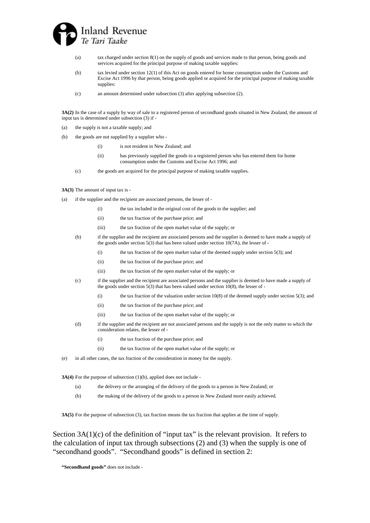

- (a) tax charged under section 8(1) on the supply of goods and services made to that person, being goods and services acquired for the principal purpose of making taxable supplies:
- (b) tax levied under section 12(1) of this Act on goods entered for home consumption under the Customs and Excise Act 1996 by that person, being goods applied or acquired for the principal purpose of making taxable supplies:
- (c) an amount determined under subsection (3) after applying subsection (2).

**3A(2)** In the case of a supply by way of sale to a registered person of secondhand goods situated in New Zealand, the amount of input tax is determined under subsection (3) if -

- (a) the supply is not a taxable supply; and
- (b) the goods are not supplied by a supplier who
	- (i) is not resident in New Zealand; and
	- (ii) has previously supplied the goods to a registered person who has entered them for home consumption under the Customs and Excise Act 1996; and
	- (c) the goods are acquired for the principal purpose of making taxable supplies.

#### **3A(3)** The amount of input tax is -

- (a) if the supplier and the recipient are associated persons, the lesser of
	- (i) the tax included in the original cost of the goods to the supplier; and
	- (ii) the tax fraction of the purchase price; and
	- (iii) the tax fraction of the open market value of the supply; or

(b) if the supplier and the recipient are associated persons and the supplier is deemed to have made a supply of the goods under section  $5(3)$  that has been valued under section  $10(7A)$ , the lesser of -

- (i) the tax fraction of the open market value of the deemed supply under section 5(3); and
- (ii) the tax fraction of the purchase price; and
- (iii) the tax fraction of the open market value of the supply; or
- (c) if the supplier and the recipient are associated persons and the supplier is deemed to have made a supply of the goods under section 5(3) that has been valued under section 10(8), the lesser of -
	- (i) the tax fraction of the valuation under section 10(8) of the deemed supply under section 5(3); and
	- (ii) the tax fraction of the purchase price; and
	- (iii) the tax fraction of the open market value of the supply; or
- (d) if the supplier and the recipient are not associated persons and the supply is not the only matter to which the consideration relates, the lesser of -
	- (i) the tax fraction of the purchase price; and
	- (ii) the tax fraction of the open market value of the supply; or
- (e) in all other cases, the tax fraction of the consideration in money for the supply.

**3A(4)** For the purpose of subsection (1)(b), applied does not include -

- (a) the delivery or the arranging of the delivery of the goods to a person in New Zealand; or
- (b) the making of the delivery of the goods to a person in New Zealand more easily achieved.

**3A(5)** For the purpose of subsection (3), tax fraction means the tax fraction that applies at the time of supply.

Section  $3A(1)(c)$  of the definition of "input tax" is the relevant provision. It refers to the calculation of input tax through subsections (2) and (3) when the supply is one of "secondhand goods". "Secondhand goods" is defined in section 2:

**"Secondhand goods"** does not include -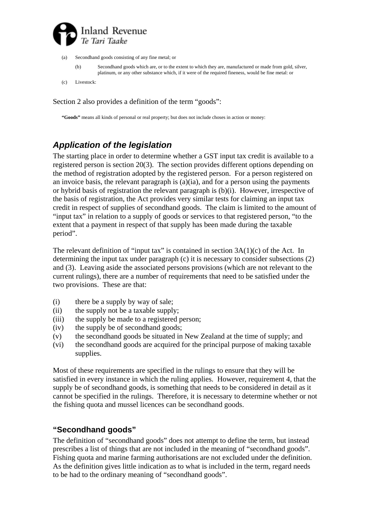

- (a) Secondhand goods consisting of any fine metal; or
	- (b) Secondhand goods which are, or to the extent to which they are, manufactured or made from gold, silver, platinum, or any other substance which, if it were of the required fineness, would be fine metal: or

(c) Livestock:

Section 2 also provides a definition of the term "goods":

**"Goods"** means all kinds of personal or real property; but does not include choses in action or money:

# *Application of the legislation*

The starting place in order to determine whether a GST input tax credit is available to a registered person is section 20(3). The section provides different options depending on the method of registration adopted by the registered person. For a person registered on an invoice basis, the relevant paragraph is (a)(ia), and for a person using the payments or hybrid basis of registration the relevant paragraph is (b)(i). However, irrespective of the basis of registration, the Act provides very similar tests for claiming an input tax credit in respect of supplies of secondhand goods. The claim is limited to the amount of "input tax" in relation to a supply of goods or services to that registered person, "to the extent that a payment in respect of that supply has been made during the taxable period".

The relevant definition of "input tax" is contained in section 3A(1)(c) of the Act. In determining the input tax under paragraph (c) it is necessary to consider subsections (2) and (3). Leaving aside the associated persons provisions (which are not relevant to the current rulings), there are a number of requirements that need to be satisfied under the two provisions. These are that:

- (i) there be a supply by way of sale;
- (ii) the supply not be a taxable supply;
- (iii) the supply be made to a registered person;
- (iv) the supply be of secondhand goods;
- (v) the secondhand goods be situated in New Zealand at the time of supply; and
- (vi) the secondhand goods are acquired for the principal purpose of making taxable supplies.

Most of these requirements are specified in the rulings to ensure that they will be satisfied in every instance in which the ruling applies. However, requirement 4, that the supply be of secondhand goods, is something that needs to be considered in detail as it cannot be specified in the rulings. Therefore, it is necessary to determine whether or not the fishing quota and mussel licences can be secondhand goods.

# **"Secondhand goods"**

The definition of "secondhand goods" does not attempt to define the term, but instead prescribes a list of things that are not included in the meaning of "secondhand goods". Fishing quota and marine farming authorisations are not excluded under the definition. As the definition gives little indication as to what is included in the term, regard needs to be had to the ordinary meaning of "secondhand goods".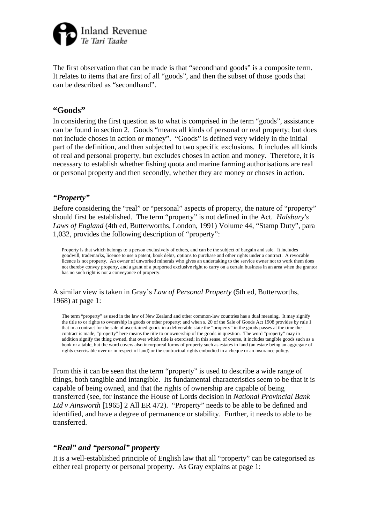

The first observation that can be made is that "secondhand goods" is a composite term. It relates to items that are first of all "goods", and then the subset of those goods that can be described as "secondhand".

### **"Goods"**

In considering the first question as to what is comprised in the term "goods", assistance can be found in section 2. Goods "means all kinds of personal or real property; but does not include choses in action or money". "Goods" is defined very widely in the initial part of the definition, and then subjected to two specific exclusions. It includes all kinds of real and personal property, but excludes choses in action and money. Therefore, it is necessary to establish whether fishing quota and marine farming authorisations are real or personal property and then secondly, whether they are money or choses in action.

#### *"Property"*

Before considering the "real" or "personal" aspects of property, the nature of "property" should first be established. The term "property" is not defined in the Act. *Halsbury's Laws of England* (4th ed, Butterworths, London, 1991) Volume 44, "Stamp Duty", para 1,032, provides the following description of "property":

Property is that which belongs to a person exclusively of others, and can be the subject of bargain and sale. It includes goodwill, trademarks, licence to use a patent, book debts, options to purchase and other rights under a contract. A revocable licence is not property. An owner of unworked minerals who gives an undertaking to the service owner not to work them does not thereby convey property, and a grant of a purported exclusive right to carry on a certain business in an area when the grantor has no such right is not a conveyance of property.

#### A similar view is taken in Gray's *Law of Personal Property* (5th ed, Butterworths, 1968) at page 1:

The term "property" as used in the law of New Zealand and other common-law countries has a dual meaning. It may signify the title to or rights to ownership in goods or other property; and when s. 20 of the Sale of Goods Act 1908 provides by rule 1 that in a contract for the sale of ascertained goods in a deliverable state the "property" in the goods passes at the time the contract is made, "property" here means the title to or ownership of the goods in question. The word "property" may in addition signify the thing owned, that over which title is exercised; in this sense, of course, it includes tangible goods such as a book or a table, but the word covers also incorporeal forms of property such as estates in land (an estate being an aggregate of rights exercisable over or in respect of land) or the contractual rights embodied in a cheque or an insurance policy.

From this it can be seen that the term "property" is used to describe a wide range of things, both tangible and intangible. Its fundamental characteristics seem to be that it is capable of being owned, and that the rights of ownership are capable of being transferred (see, for instance the House of Lords decision in *National Provincial Bank Ltd v Ainsworth* [1965] 2 All ER 472). "Property" needs to be able to be defined and identified, and have a degree of permanence or stability. Further, it needs to able to be transferred.

### *"Real" and "personal" property*

It is a well-established principle of English law that all "property" can be categorised as either real property or personal property. As Gray explains at page 1: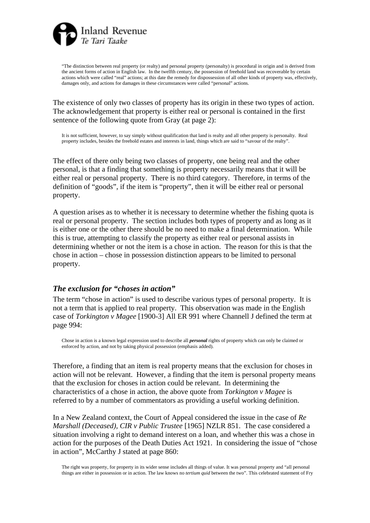

"The distinction between real property (or realty) and personal property (personalty) is procedural in origin and is derived from the ancient forms of action in English law. In the twelfth century, the possession of freehold land was recoverable by certain actions which were called "real" actions; at this date the remedy for dispossession of all other kinds of property was, effectively, damages only, and actions for damages in these circumstances were called "personal" actions.

The existence of only two classes of property has its origin in these two types of action. The acknowledgement that property is either real or personal is contained in the first sentence of the following quote from Gray (at page 2):

It is not sufficient, however, to say simply without qualification that land is realty and all other property is personalty. Real property includes, besides the freehold estates and interests in land, things which are said to "savour of the realty".

The effect of there only being two classes of property, one being real and the other personal, is that a finding that something is property necessarily means that it will be either real or personal property. There is no third category. Therefore, in terms of the definition of "goods", if the item is "property", then it will be either real or personal property.

A question arises as to whether it is necessary to determine whether the fishing quota is real or personal property. The section includes both types of property and as long as it is either one or the other there should be no need to make a final determination. While this is true, attempting to classify the property as either real or personal assists in determining whether or not the item is a chose in action. The reason for this is that the chose in action – chose in possession distinction appears to be limited to personal property.

#### *The exclusion for "choses in action"*

The term "chose in action" is used to describe various types of personal property. It is not a term that is applied to real property. This observation was made in the English case of *Torkington v Magee* [1900-3] All ER 991 where Channell J defined the term at page 994:

Chose in action is a known legal expression used to describe all *personal* rights of property which can only be claimed or enforced by action, and not by taking physical possession (emphasis added).

Therefore, a finding that an item is real property means that the exclusion for choses in action will not be relevant. However, a finding that the item is personal property means that the exclusion for choses in action could be relevant. In determining the characteristics of a chose in action, the above quote from *Torkington v Magee* is referred to by a number of commentators as providing a useful working definition.

In a New Zealand context, the Court of Appeal considered the issue in the case of *Re Marshall (Deceased), CIR v Public Trustee* [1965] NZLR 851. The case considered a situation involving a right to demand interest on a loan, and whether this was a chose in action for the purposes of the Death Duties Act 1921. In considering the issue of "chose in action", McCarthy J stated at page 860: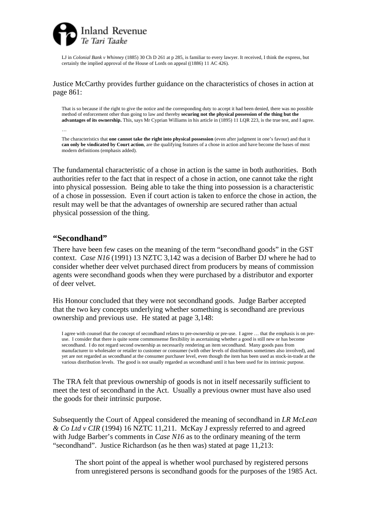

LJ in *Colonial Bank v Whinney* (1885) 30 Ch D 261 at p 285, is familiar to every lawyer. It received, I think the express, but certainly the implied approval of the House of Lords on appeal ((1886) 11 AC 426).

Justice McCarthy provides further guidance on the characteristics of choses in action at page 861:

That is so because if the right to give the notice and the corresponding duty to accept it had been denied, there was no possible method of enforcement other than going to law and thereby **securing not the physical possession of the thing but the advantages of its ownership.** This, says Mr Cyprian Williams in his article in (1895) 11 LQR 223, is the true test, and I agree.

The characteristics that **one cannot take the right into physical possession** (even after judgment in one's favour) and that it **can only be vindicated by Court action**, are the qualifying features of a chose in action and have become the bases of most modern definitions (emphasis added).

The fundamental characteristic of a chose in action is the same in both authorities. Both authorities refer to the fact that in respect of a chose in action, one cannot take the right into physical possession. Being able to take the thing into possession is a characteristic of a chose in possession. Even if court action is taken to enforce the chose in action, the result may well be that the advantages of ownership are secured rather than actual physical possession of the thing.

#### **"Secondhand"**

…

There have been few cases on the meaning of the term "secondhand goods" in the GST context. *Case N16* (1991) 13 NZTC 3,142 was a decision of Barber DJ where he had to consider whether deer velvet purchased direct from producers by means of commission agents were secondhand goods when they were purchased by a distributor and exporter of deer velvet.

His Honour concluded that they were not secondhand goods. Judge Barber accepted that the two key concepts underlying whether something is secondhand are previous ownership and previous use. He stated at page 3,148:

I agree with counsel that the concept of secondhand relates to pre-ownership or pre-use. I agree … that the emphasis is on preuse. I consider that there is quite some commonsense flexibility in ascertaining whether a good is still new or has become secondhand. I do not regard second ownership as necessarily rendering an item secondhand. Many goods pass from manufacturer to wholesaler or retailer to customer or consumer (with other levels of distributors sometimes also involved), and yet are not regarded as secondhand at the consumer purchaser level, even though the item has been used as stock-in-trade at the various distribution levels. The good is not usually regarded as secondhand until it has been used for its intrinsic purpose.

The TRA felt that previous ownership of goods is not in itself necessarily sufficient to meet the test of secondhand in the Act. Usually a previous owner must have also used the goods for their intrinsic purpose.

Subsequently the Court of Appeal considered the meaning of secondhand in *LR McLean & Co Ltd v CIR* (1994) 16 NZTC 11,211. McKay J expressly referred to and agreed with Judge Barber's comments in *Case N16* as to the ordinary meaning of the term "secondhand". Justice Richardson (as he then was) stated at page 11,213:

The short point of the appeal is whether wool purchased by registered persons from unregistered persons is secondhand goods for the purposes of the 1985 Act.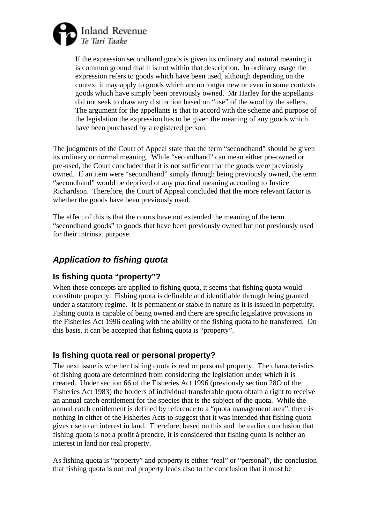

If the expression secondhand goods is given its ordinary and natural meaning it is common ground that it is not within that description. In ordinary usage the expression refers to goods which have been used, although depending on the context it may apply to goods which are no longer new or even in some contexts goods which have simply been previously owned. Mr Harley for the appellants did not seek to draw any distinction based on "use" of the wool by the sellers. The argument for the appellants is that to accord with the scheme and purpose of the legislation the expression has to be given the meaning of any goods which have been purchased by a registered person.

The judgments of the Court of Appeal state that the term "secondhand" should be given its ordinary or normal meaning. While "secondhand" can mean either pre-owned or pre-used, the Court concluded that it is not sufficient that the goods were previously owned. If an item were "secondhand" simply through being previously owned, the term "secondhand" would be deprived of any practical meaning according to Justice Richardson. Therefore, the Court of Appeal concluded that the more relevant factor is whether the goods have been previously used.

The effect of this is that the courts have not extended the meaning of the term "secondhand goods" to goods that have been previously owned but not previously used for their intrinsic purpose.

# *Application to fishing quota*

# **Is fishing quota "property"?**

When these concepts are applied to fishing quota, it seems that fishing quota would constitute property. Fishing quota is definable and identifiable through being granted under a statutory regime. It is permanent or stable in nature as it is issued in perpetuity. Fishing quota is capable of being owned and there are specific legislative provisions in the Fisheries Act 1996 dealing with the ability of the fishing quota to be transferred. On this basis, it can be accepted that fishing quota is "property".

# **Is fishing quota real or personal property?**

The next issue is whether fishing quota is real or personal property. The characteristics of fishing quota are determined from considering the legislation under which it is created. Under section 66 of the Fisheries Act 1996 (previously section 28O of the Fisheries Act 1983) the holders of individual transferable quota obtain a right to receive an annual catch entitlement for the species that is the subject of the quota. While the annual catch entitlement is defined by reference to a "quota management area", there is nothing in either of the Fisheries Acts to suggest that it was intended that fishing quota gives rise to an interest in land. Therefore, based on this and the earlier conclusion that fishing quota is not a profit à prendre, it is considered that fishing quota is neither an interest in land nor real property.

As fishing quota is "property" and property is either "real" or "personal", the conclusion that fishing quota is not real property leads also to the conclusion that it must be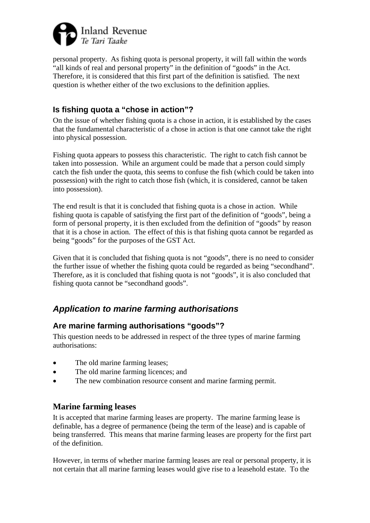

personal property. As fishing quota is personal property, it will fall within the words "all kinds of real and personal property" in the definition of "goods" in the Act. Therefore, it is considered that this first part of the definition is satisfied. The next question is whether either of the two exclusions to the definition applies.

# **Is fishing quota a "chose in action"?**

On the issue of whether fishing quota is a chose in action, it is established by the cases that the fundamental characteristic of a chose in action is that one cannot take the right into physical possession.

Fishing quota appears to possess this characteristic. The right to catch fish cannot be taken into possession. While an argument could be made that a person could simply catch the fish under the quota, this seems to confuse the fish (which could be taken into possession) with the right to catch those fish (which, it is considered, cannot be taken into possession).

The end result is that it is concluded that fishing quota is a chose in action. While fishing quota is capable of satisfying the first part of the definition of "goods", being a form of personal property, it is then excluded from the definition of "goods" by reason that it is a chose in action. The effect of this is that fishing quota cannot be regarded as being "goods" for the purposes of the GST Act.

Given that it is concluded that fishing quota is not "goods", there is no need to consider the further issue of whether the fishing quota could be regarded as being "secondhand". Therefore, as it is concluded that fishing quota is not "goods", it is also concluded that fishing quota cannot be "secondhand goods".

# *Application to marine farming authorisations*

# **Are marine farming authorisations "goods"?**

This question needs to be addressed in respect of the three types of marine farming authorisations:

- The old marine farming leases;
- The old marine farming licences; and
- The new combination resource consent and marine farming permit.

# **Marine farming leases**

It is accepted that marine farming leases are property. The marine farming lease is definable, has a degree of permanence (being the term of the lease) and is capable of being transferred. This means that marine farming leases are property for the first part of the definition.

However, in terms of whether marine farming leases are real or personal property, it is not certain that all marine farming leases would give rise to a leasehold estate. To the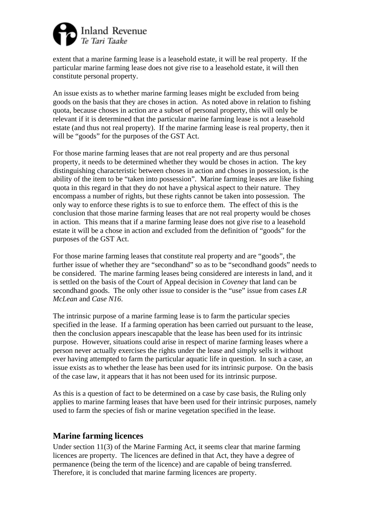

extent that a marine farming lease is a leasehold estate, it will be real property. If the particular marine farming lease does not give rise to a leasehold estate, it will then constitute personal property.

An issue exists as to whether marine farming leases might be excluded from being goods on the basis that they are choses in action. As noted above in relation to fishing quota, because choses in action are a subset of personal property, this will only be relevant if it is determined that the particular marine farming lease is not a leasehold estate (and thus not real property). If the marine farming lease is real property, then it will be "goods" for the purposes of the GST Act.

For those marine farming leases that are not real property and are thus personal property, it needs to be determined whether they would be choses in action. The key distinguishing characteristic between choses in action and choses in possession, is the ability of the item to be "taken into possession". Marine farming leases are like fishing quota in this regard in that they do not have a physical aspect to their nature. They encompass a number of rights, but these rights cannot be taken into possession. The only way to enforce these rights is to sue to enforce them. The effect of this is the conclusion that those marine farming leases that are not real property would be choses in action. This means that if a marine farming lease does not give rise to a leasehold estate it will be a chose in action and excluded from the definition of "goods" for the purposes of the GST Act.

For those marine farming leases that constitute real property and are "goods", the further issue of whether they are "secondhand" so as to be "secondhand goods" needs to be considered. The marine farming leases being considered are interests in land, and it is settled on the basis of the Court of Appeal decision in *Coveney* that land can be secondhand goods. The only other issue to consider is the "use" issue from cases *LR McLean* and *Case N16*.

The intrinsic purpose of a marine farming lease is to farm the particular species specified in the lease. If a farming operation has been carried out pursuant to the lease, then the conclusion appears inescapable that the lease has been used for its intrinsic purpose. However, situations could arise in respect of marine farming leases where a person never actually exercises the rights under the lease and simply sells it without ever having attempted to farm the particular aquatic life in question. In such a case, an issue exists as to whether the lease has been used for its intrinsic purpose. On the basis of the case law, it appears that it has not been used for its intrinsic purpose.

As this is a question of fact to be determined on a case by case basis, the Ruling only applies to marine farming leases that have been used for their intrinsic purposes, namely used to farm the species of fish or marine vegetation specified in the lease.

# **Marine farming licences**

Under section 11(3) of the Marine Farming Act, it seems clear that marine farming licences are property. The licences are defined in that Act, they have a degree of permanence (being the term of the licence) and are capable of being transferred. Therefore, it is concluded that marine farming licences are property.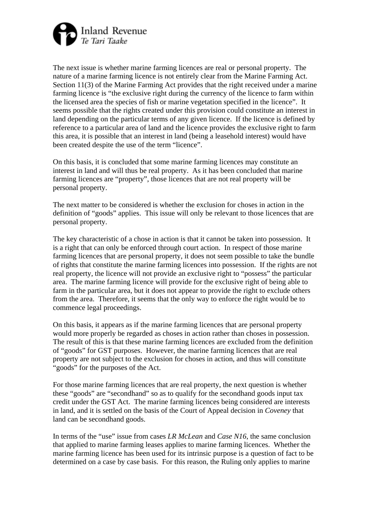

The next issue is whether marine farming licences are real or personal property. The nature of a marine farming licence is not entirely clear from the Marine Farming Act. Section 11(3) of the Marine Farming Act provides that the right received under a marine farming licence is "the exclusive right during the currency of the licence to farm within the licensed area the species of fish or marine vegetation specified in the licence". It seems possible that the rights created under this provision could constitute an interest in land depending on the particular terms of any given licence. If the licence is defined by reference to a particular area of land and the licence provides the exclusive right to farm this area, it is possible that an interest in land (being a leasehold interest) would have been created despite the use of the term "licence".

On this basis, it is concluded that some marine farming licences may constitute an interest in land and will thus be real property. As it has been concluded that marine farming licences are "property", those licences that are not real property will be personal property.

The next matter to be considered is whether the exclusion for choses in action in the definition of "goods" applies. This issue will only be relevant to those licences that are personal property.

The key characteristic of a chose in action is that it cannot be taken into possession. It is a right that can only be enforced through court action. In respect of those marine farming licences that are personal property, it does not seem possible to take the bundle of rights that constitute the marine farming licences into possession. If the rights are not real property, the licence will not provide an exclusive right to "possess" the particular area. The marine farming licence will provide for the exclusive right of being able to farm in the particular area, but it does not appear to provide the right to exclude others from the area. Therefore, it seems that the only way to enforce the right would be to commence legal proceedings.

On this basis, it appears as if the marine farming licences that are personal property would more properly be regarded as choses in action rather than choses in possession. The result of this is that these marine farming licences are excluded from the definition of "goods" for GST purposes. However, the marine farming licences that are real property are not subject to the exclusion for choses in action, and thus will constitute "goods" for the purposes of the Act.

For those marine farming licences that are real property, the next question is whether these "goods" are "secondhand" so as to qualify for the secondhand goods input tax credit under the GST Act. The marine farming licences being considered are interests in land, and it is settled on the basis of the Court of Appeal decision in *Coveney* that land can be secondhand goods.

In terms of the "use" issue from cases *LR McLean* and *Case N16*, the same conclusion that applied to marine farming leases applies to marine farming licences. Whether the marine farming licence has been used for its intrinsic purpose is a question of fact to be determined on a case by case basis. For this reason, the Ruling only applies to marine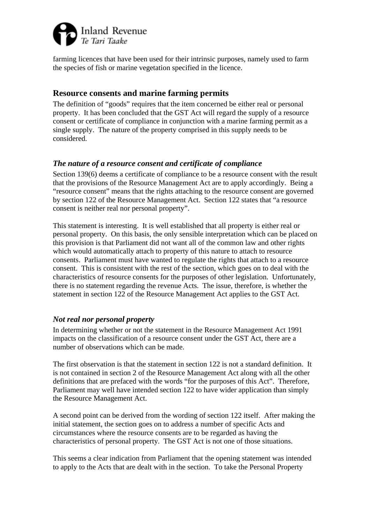

farming licences that have been used for their intrinsic purposes, namely used to farm the species of fish or marine vegetation specified in the licence.

# **Resource consents and marine farming permits**

The definition of "goods" requires that the item concerned be either real or personal property. It has been concluded that the GST Act will regard the supply of a resource consent or certificate of compliance in conjunction with a marine farming permit as a single supply. The nature of the property comprised in this supply needs to be considered.

### *The nature of a resource consent and certificate of compliance*

Section 139(6) deems a certificate of compliance to be a resource consent with the result that the provisions of the Resource Management Act are to apply accordingly. Being a "resource consent" means that the rights attaching to the resource consent are governed by section 122 of the Resource Management Act. Section 122 states that "a resource consent is neither real nor personal property".

This statement is interesting. It is well established that all property is either real or personal property. On this basis, the only sensible interpretation which can be placed on this provision is that Parliament did not want all of the common law and other rights which would automatically attach to property of this nature to attach to resource consents. Parliament must have wanted to regulate the rights that attach to a resource consent. This is consistent with the rest of the section, which goes on to deal with the characteristics of resource consents for the purposes of other legislation. Unfortunately, there is no statement regarding the revenue Acts. The issue, therefore, is whether the statement in section 122 of the Resource Management Act applies to the GST Act.

### *Not real nor personal property*

In determining whether or not the statement in the Resource Management Act 1991 impacts on the classification of a resource consent under the GST Act, there are a number of observations which can be made.

The first observation is that the statement in section 122 is not a standard definition. It is not contained in section 2 of the Resource Management Act along with all the other definitions that are prefaced with the words "for the purposes of this Act". Therefore, Parliament may well have intended section 122 to have wider application than simply the Resource Management Act.

A second point can be derived from the wording of section 122 itself. After making the initial statement, the section goes on to address a number of specific Acts and circumstances where the resource consents are to be regarded as having the characteristics of personal property. The GST Act is not one of those situations.

This seems a clear indication from Parliament that the opening statement was intended to apply to the Acts that are dealt with in the section. To take the Personal Property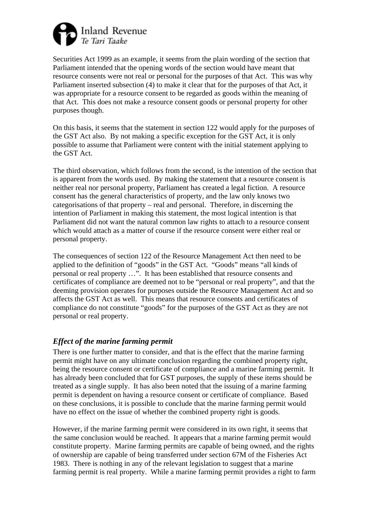

Securities Act 1999 as an example, it seems from the plain wording of the section that Parliament intended that the opening words of the section would have meant that resource consents were not real or personal for the purposes of that Act. This was why Parliament inserted subsection (4) to make it clear that for the purposes of that Act, it was appropriate for a resource consent to be regarded as goods within the meaning of that Act. This does not make a resource consent goods or personal property for other purposes though.

On this basis, it seems that the statement in section 122 would apply for the purposes of the GST Act also. By not making a specific exception for the GST Act, it is only possible to assume that Parliament were content with the initial statement applying to the GST Act.

The third observation, which follows from the second, is the intention of the section that is apparent from the words used. By making the statement that a resource consent is neither real nor personal property, Parliament has created a legal fiction. A resource consent has the general characteristics of property, and the law only knows two categorisations of that property – real and personal. Therefore, in discerning the intention of Parliament in making this statement, the most logical intention is that Parliament did not want the natural common law rights to attach to a resource consent which would attach as a matter of course if the resource consent were either real or personal property.

The consequences of section 122 of the Resource Management Act then need to be applied to the definition of "goods" in the GST Act. "Goods" means "all kinds of personal or real property …". It has been established that resource consents and certificates of compliance are deemed not to be "personal or real property", and that the deeming provision operates for purposes outside the Resource Management Act and so affects the GST Act as well. This means that resource consents and certificates of compliance do not constitute "goods" for the purposes of the GST Act as they are not personal or real property.

# *Effect of the marine farming permit*

There is one further matter to consider, and that is the effect that the marine farming permit might have on any ultimate conclusion regarding the combined property right, being the resource consent or certificate of compliance and a marine farming permit. It has already been concluded that for GST purposes, the supply of these items should be treated as a single supply. It has also been noted that the issuing of a marine farming permit is dependent on having a resource consent or certificate of compliance. Based on these conclusions, it is possible to conclude that the marine farming permit would have no effect on the issue of whether the combined property right is goods.

However, if the marine farming permit were considered in its own right, it seems that the same conclusion would be reached. It appears that a marine farming permit would constitute property. Marine farming permits are capable of being owned, and the rights of ownership are capable of being transferred under section 67M of the Fisheries Act 1983. There is nothing in any of the relevant legislation to suggest that a marine farming permit is real property. While a marine farming permit provides a right to farm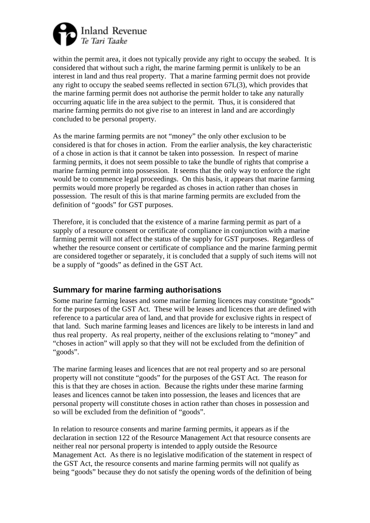

within the permit area, it does not typically provide any right to occupy the seabed. It is considered that without such a right, the marine farming permit is unlikely to be an interest in land and thus real property. That a marine farming permit does not provide any right to occupy the seabed seems reflected in section 67L(3), which provides that the marine farming permit does not authorise the permit holder to take any naturally occurring aquatic life in the area subject to the permit. Thus, it is considered that marine farming permits do not give rise to an interest in land and are accordingly concluded to be personal property.

As the marine farming permits are not "money" the only other exclusion to be considered is that for choses in action. From the earlier analysis, the key characteristic of a chose in action is that it cannot be taken into possession. In respect of marine farming permits, it does not seem possible to take the bundle of rights that comprise a marine farming permit into possession. It seems that the only way to enforce the right would be to commence legal proceedings. On this basis, it appears that marine farming permits would more properly be regarded as choses in action rather than choses in possession. The result of this is that marine farming permits are excluded from the definition of "goods" for GST purposes.

Therefore, it is concluded that the existence of a marine farming permit as part of a supply of a resource consent or certificate of compliance in conjunction with a marine farming permit will not affect the status of the supply for GST purposes. Regardless of whether the resource consent or certificate of compliance and the marine farming permit are considered together or separately, it is concluded that a supply of such items will not be a supply of "goods" as defined in the GST Act.

# **Summary for marine farming authorisations**

Some marine farming leases and some marine farming licences may constitute "goods" for the purposes of the GST Act. These will be leases and licences that are defined with reference to a particular area of land, and that provide for exclusive rights in respect of that land. Such marine farming leases and licences are likely to be interests in land and thus real property. As real property, neither of the exclusions relating to "money" and "choses in action" will apply so that they will not be excluded from the definition of "goods".

The marine farming leases and licences that are not real property and so are personal property will not constitute "goods" for the purposes of the GST Act. The reason for this is that they are choses in action. Because the rights under these marine farming leases and licences cannot be taken into possession, the leases and licences that are personal property will constitute choses in action rather than choses in possession and so will be excluded from the definition of "goods".

In relation to resource consents and marine farming permits, it appears as if the declaration in section 122 of the Resource Management Act that resource consents are neither real nor personal property is intended to apply outside the Resource Management Act. As there is no legislative modification of the statement in respect of the GST Act, the resource consents and marine farming permits will not qualify as being "goods" because they do not satisfy the opening words of the definition of being